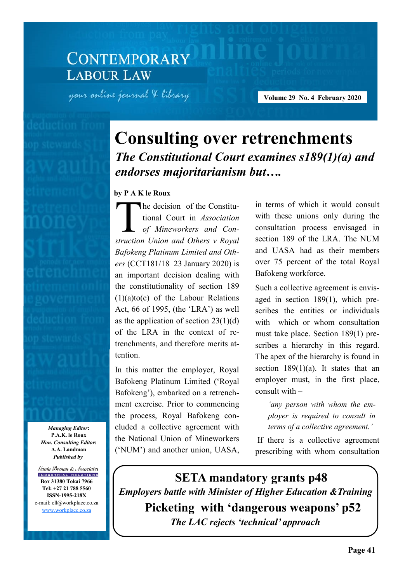# **CONTEMPORARY LABOUR LAW**

your online journal & library

**Volume 29 No. 4 February 2020** 

# **Consulting over retrenchments**  *The Constitutional Court examines s189(1)(a) and endorses majoritarianism but….*

#### **by P A K le Roux**

T<br>Truction he decision of the Constitutional Court in *Association of Mineworkers and Construction Union and Others v Royal Bafokeng Platinum Limited and Others* (CCT181/18 23 January 2020) is an important decision dealing with the constitutionality of section 189 (1)(a)to(c) of the Labour Relations Act, 66 of 1995, (the 'LRA') as well as the application of section  $23(1)(d)$ of the LRA in the context of retrenchments, and therefore merits attention.

In this matter the employer, Royal Bafokeng Platinum Limited ('Royal Bafokeng'), embarked on a retrenchment exercise. Prior to commencing the process, Royal Bafokeng concluded a collective agreement with the National Union of Mineworkers ('NUM') and another union, UASA,

in terms of which it would consult with these unions only during the consultation process envisaged in section 189 of the LRA. The NUM and UASA had as their members over 75 percent of the total Royal Bafokeng workforce.

Such a collective agreement is envisaged in section 189(1), which prescribes the entities or individuals with which or whom consultation must take place. Section 189(1) prescribes a hierarchy in this regard. The apex of the hierarchy is found in section 189(1)(a). It states that an employer must, in the first place, consult with –

*'any person with whom the employer is required to consult in terms of a collective agreement.'*

If there is a collective agreement prescribing with whom consultation

**Picketing with 'dangerous weapons' p52** *The LAC rejects 'technical' approach*  **SETA mandatory grants p48** *Employers battle with Minister of Higher Education &Training* 

*Managing Editor***: P.A.K. le Roux** *Hon. Consulting Editor***: A.A. Landman** *Published by*

Gavin Brown & Associates INDUSTRIAL RELATIONS **Box 31380 Tokai 7966 Tel: +27 21 788 5560 ISSN-1995-218X** e-mail: cll@workplace.co.za [www.workplace.co.za](http://www.workplace.co.za/)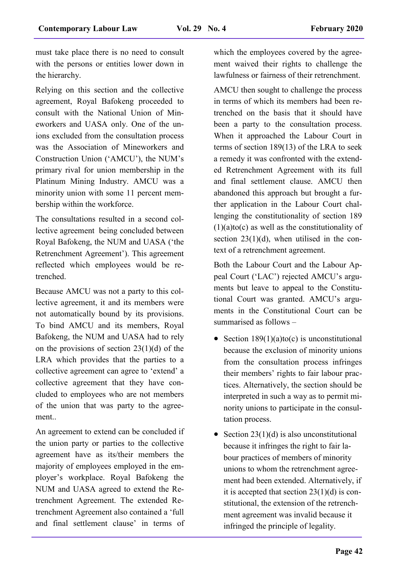must take place there is no need to consult with the persons or entities lower down in the hierarchy.

Relying on this section and the collective agreement, Royal Bafokeng proceeded to consult with the National Union of Mineworkers and UASA only. One of the unions excluded from the consultation process was the Association of Mineworkers and Construction Union ('AMCU'), the NUM's primary rival for union membership in the Platinum Mining Industry. AMCU was a minority union with some 11 percent membership within the workforce.

The consultations resulted in a second collective agreement being concluded between Royal Bafokeng, the NUM and UASA ('the Retrenchment Agreement'). This agreement reflected which employees would be retrenched.

Because AMCU was not a party to this collective agreement, it and its members were not automatically bound by its provisions. To bind AMCU and its members, Royal Bafokeng, the NUM and UASA had to rely on the provisions of section  $23(1)(d)$  of the LRA which provides that the parties to a collective agreement can agree to 'extend' a collective agreement that they have concluded to employees who are not members of the union that was party to the agreement..

An agreement to extend can be concluded if the union party or parties to the collective agreement have as its/their members the majority of employees employed in the employer's workplace. Royal Bafokeng the NUM and UASA agreed to extend the Retrenchment Agreement. The extended Retrenchment Agreement also contained a 'full and final settlement clause' in terms of

which the employees covered by the agreement waived their rights to challenge the lawfulness or fairness of their retrenchment.

AMCU then sought to challenge the process in terms of which its members had been retrenched on the basis that it should have been a party to the consultation process. When it approached the Labour Court in terms of section 189(13) of the LRA to seek a remedy it was confronted with the extended Retrenchment Agreement with its full and final settlement clause. AMCU then abandoned this approach but brought a further application in the Labour Court challenging the constitutionality of section 189  $(1)(a)$ to(c) as well as the constitutionality of section  $23(1)(d)$ , when utilised in the context of a retrenchment agreement.

Both the Labour Court and the Labour Appeal Court ('LAC') rejected AMCU's arguments but leave to appeal to the Constitutional Court was granted. AMCU's arguments in the Constitutional Court can be summarised as follows –

- Section  $189(1)(a)$ to(c) is unconstitutional because the exclusion of minority unions from the consultation process infringes their members' rights to fair labour practices. Alternatively, the section should be interpreted in such a way as to permit minority unions to participate in the consultation process.
- Section  $23(1)(d)$  is also unconstitutional because it infringes the right to fair labour practices of members of minority unions to whom the retrenchment agreement had been extended. Alternatively, if it is accepted that section  $23(1)(d)$  is constitutional, the extension of the retrenchment agreement was invalid because it infringed the principle of legality.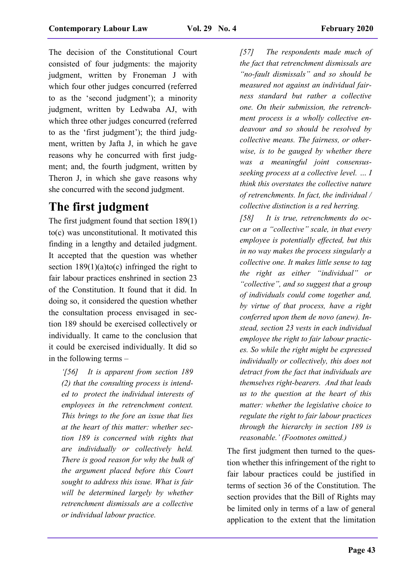The decision of the Constitutional Court consisted of four judgments: the majority judgment, written by Froneman J with which four other judges concurred (referred to as the 'second judgment'); a minority judgment, written by Ledwaba AJ, with which three other judges concurred (referred to as the 'first judgment'); the third judgment, written by Jafta J, in which he gave reasons why he concurred with first judgment; and, the fourth judgment, written by Theron J, in which she gave reasons why she concurred with the second judgment.

## **The first judgment**

The first judgment found that section 189(1) to(c) was unconstitutional. It motivated this finding in a lengthy and detailed judgment. It accepted that the question was whether section  $189(1)(a)$ to(c) infringed the right to fair labour practices enshrined in section 23 of the Constitution. It found that it did. In doing so, it considered the question whether the consultation process envisaged in section 189 should be exercised collectively or individually. It came to the conclusion that it could be exercised individually. It did so in the following terms –

*'[56] It is apparent from section 189 (2) that the consulting process is intended to protect the individual interests of employees in the retrenchment context. This brings to the fore an issue that lies at the heart of this matter: whether section 189 is concerned with rights that are individually or collectively held. There is good reason for why the bulk of the argument placed before this Court sought to address this issue. What is fair will be determined largely by whether retrenchment dismissals are a collective or individual labour practice.*

*[57] The respondents made much of the fact that retrenchment dismissals are "no-fault dismissals" and so should be measured not against an individual fairness standard but rather a collective one. On their submission, the retrenchment process is a wholly collective endeavour and so should be resolved by collective means. The fairness, or otherwise, is to be gauged by whether there was a meaningful joint consensusseeking process at a collective level. … I think this overstates the collective nature of retrenchments. In fact, the individual / collective distinction is a red herring.*

*[58] It is true, retrenchments do occur on a "collective" scale, in that every employee is potentially effected, but this in no way makes the process singularly a collective one. It makes little sense to tag the right as either "individual" or "collective", and so suggest that a group of individuals could come together and, by virtue of that process, have a right conferred upon them de novo (anew). Instead, section 23 vests in each individual employee the right to fair labour practices. So while the right might be expressed individually or collectively, this does not detract from the fact that individuals are themselves right-bearers. And that leads us to the question at the heart of this matter: whether the legislative choice to regulate the right to fair labour practices through the hierarchy in section 189 is reasonable.' (Footnotes omitted.)*

The first judgment then turned to the question whether this infringement of the right to fair labour practices could be justified in terms of section 36 of the Constitution. The section provides that the Bill of Rights may be limited only in terms of a law of general application to the extent that the limitation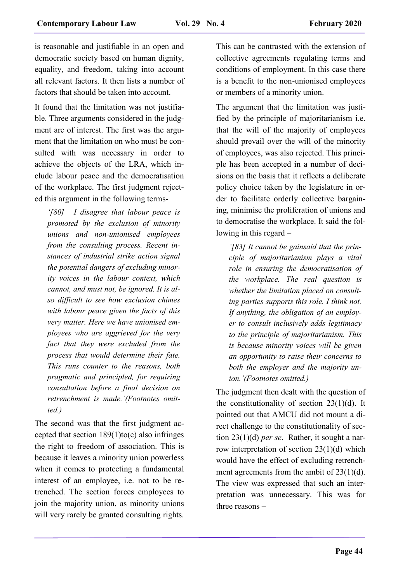is reasonable and justifiable in an open and democratic society based on human dignity, equality, and freedom, taking into account all relevant factors. It then lists a number of factors that should be taken into account.

It found that the limitation was not justifiable. Three arguments considered in the judgment are of interest. The first was the argument that the limitation on who must be consulted with was necessary in order to achieve the objects of the LRA, which include labour peace and the democratisation of the workplace. The first judgment rejected this argument in the following terms-

*'[80] I disagree that labour peace is promoted by the exclusion of minority unions and non-unionised employees from the consulting process. Recent instances of industrial strike action signal the potential dangers of excluding minority voices in the labour context, which cannot, and must not, be ignored. It is also difficult to see how exclusion chimes with labour peace given the facts of this very matter. Here we have unionised employees who are aggrieved for the very fact that they were excluded from the process that would determine their fate. This runs counter to the reasons, both pragmatic and principled, for requiring consultation before a final decision on retrenchment is made.'(Footnotes omitted.)* 

The second was that the first judgment accepted that section  $189(1)$ to(c) also infringes the right to freedom of association. This is because it leaves a minority union powerless when it comes to protecting a fundamental interest of an employee, i.e. not to be retrenched. The section forces employees to join the majority union, as minority unions will very rarely be granted consulting rights.

This can be contrasted with the extension of collective agreements regulating terms and conditions of employment. In this case there is a benefit to the non-unionised employees or members of a minority union.

The argument that the limitation was justified by the principle of majoritarianism i.e. that the will of the majority of employees should prevail over the will of the minority of employees, was also rejected. This principle has been accepted in a number of decisions on the basis that it reflects a deliberate policy choice taken by the legislature in order to facilitate orderly collective bargaining, minimise the proliferation of unions and to democratise the workplace. It said the following in this regard –

*'[83] It cannot be gainsaid that the principle of majoritarianism plays a vital role in ensuring the democratisation of the workplace. The real question is whether the limitation placed on consulting parties supports this role. I think not. If anything, the obligation of an employer to consult inclusively adds legitimacy to the principle of majoritarianism. This is because minority voices will be given an opportunity to raise their concerns to both the employer and the majority union.'(Footnotes omitted.)* 

The judgment then dealt with the question of the constitutionality of section  $23(1)(d)$ . It pointed out that AMCU did not mount a direct challenge to the constitutionality of section 23(1)(d) *per se*. Rather, it sought a narrow interpretation of section 23(1)(d) which would have the effect of excluding retrenchment agreements from the ambit of 23(1)(d). The view was expressed that such an interpretation was unnecessary. This was for three reasons –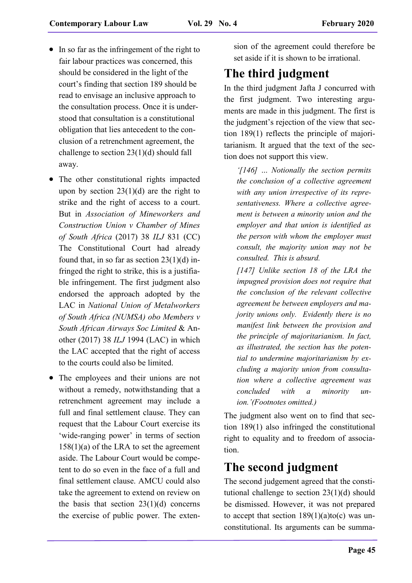- In so far as the infringement of the right to fair labour practices was concerned, this should be considered in the light of the court's finding that section 189 should be read to envisage an inclusive approach to the consultation process. Once it is understood that consultation is a constitutional obligation that lies antecedent to the conclusion of a retrenchment agreement, the challenge to section 23(1)(d) should fall away.
- The other constitutional rights impacted upon by section  $23(1)(d)$  are the right to strike and the right of access to a court. But in *Association of Mineworkers and Construction Union v Chamber of Mines of South Africa* (2017) 38 *ILJ* 831 (CC) The Constitutional Court had already found that, in so far as section  $23(1)(d)$  infringed the right to strike, this is a justifiable infringement. The first judgment also endorsed the approach adopted by the LAC in *National Union of Metalworkers of South Africa (NUMSA) obo Members v South African Airways Soc Limited* & Another (2017) 38 *ILJ* 1994 (LAC) in which the LAC accepted that the right of access to the courts could also be limited.
- The employees and their unions are not without a remedy, notwithstanding that a retrenchment agreement may include a full and final settlement clause. They can request that the Labour Court exercise its 'wide-ranging power' in terms of section  $158(1)(a)$  of the LRA to set the agreement aside. The Labour Court would be competent to do so even in the face of a full and final settlement clause. AMCU could also take the agreement to extend on review on the basis that section  $23(1)(d)$  concerns the exercise of public power. The exten-

sion of the agreement could therefore be set aside if it is shown to be irrational.

# **The third judgment**

In the third judgment Jafta J concurred with the first judgment. Two interesting arguments are made in this judgment. The first is the judgment's rejection of the view that section 189(1) reflects the principle of majoritarianism. It argued that the text of the section does not support this view.

*'[146] … Notionally the section permits the conclusion of a collective agreement with any union irrespective of its representativeness. Where a collective agreement is between a minority union and the employer and that union is identified as the person with whom the employer must consult, the majority union may not be consulted. This is absurd.*

*[147] Unlike section 18 of the LRA the impugned provision does not require that the conclusion of the relevant collective agreement be between employers and majority unions only. Evidently there is no manifest link between the provision and the principle of majoritarianism. In fact, as illustrated, the section has the potential to undermine majoritarianism by excluding a majority union from consultation where a collective agreement was concluded with a minority union.'(Footnotes omitted.)*

The judgment also went on to find that section 189(1) also infringed the constitutional right to equality and to freedom of association.

## **The second judgment**

The second judgement agreed that the constitutional challenge to section 23(1)(d) should be dismissed. However, it was not prepared to accept that section  $189(1)(a)$ to(c) was unconstitutional. Its arguments can be summa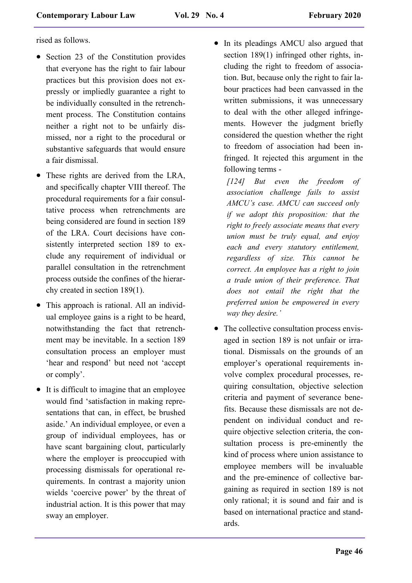rised as follows.

- Section 23 of the Constitution provides that everyone has the right to fair labour practices but this provision does not expressly or impliedly guarantee a right to be individually consulted in the retrenchment process. The Constitution contains neither a right not to be unfairly dismissed, nor a right to the procedural or substantive safeguards that would ensure a fair dismissal.
- These rights are derived from the LRA, and specifically chapter VIII thereof. The procedural requirements for a fair consultative process when retrenchments are being considered are found in section 189 of the LRA. Court decisions have consistently interpreted section 189 to exclude any requirement of individual or parallel consultation in the retrenchment process outside the confines of the hierarchy created in section 189(1).
- This approach is rational. All an individual employee gains is a right to be heard, notwithstanding the fact that retrenchment may be inevitable. In a section 189 consultation process an employer must 'hear and respond' but need not 'accept or comply'.
- It is difficult to imagine that an employee would find 'satisfaction in making representations that can, in effect, be brushed aside.' An individual employee, or even a group of individual employees, has or have scant bargaining clout, particularly where the employer is preoccupied with processing dismissals for operational requirements. In contrast a majority union wields 'coercive power' by the threat of industrial action. It is this power that may sway an employer.

• In its pleadings AMCU also argued that section 189(1) infringed other rights, including the right to freedom of association. But, because only the right to fair labour practices had been canvassed in the written submissions, it was unnecessary to deal with the other alleged infringements. However the judgment briefly considered the question whether the right to freedom of association had been infringed. It rejected this argument in the following terms -

*[124] But even the freedom of association challenge fails to assist AMCU's case. AMCU can succeed only if we adopt this proposition: that the right to freely associate means that every union must be truly equal, and enjoy each and every statutory entitlement, regardless of size. This cannot be correct. An employee has a right to join a trade union of their preference. That does not entail the right that the preferred union be empowered in every way they desire.'*

• The collective consultation process envisaged in section 189 is not unfair or irrational. Dismissals on the grounds of an employer's operational requirements involve complex procedural processes, requiring consultation, objective selection criteria and payment of severance benefits. Because these dismissals are not dependent on individual conduct and require objective selection criteria, the consultation process is pre-eminently the kind of process where union assistance to employee members will be invaluable and the pre-eminence of collective bargaining as required in section 189 is not only rational; it is sound and fair and is based on international practice and standards.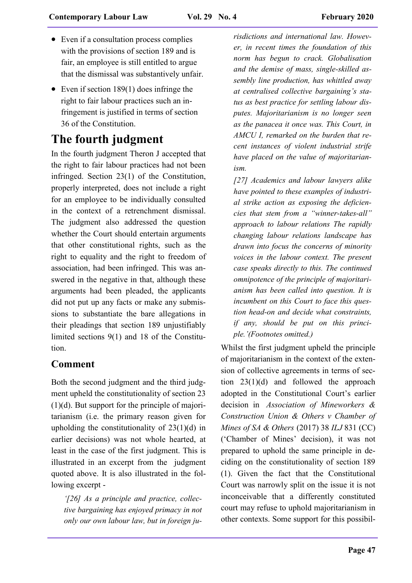- Even if a consultation process complies with the provisions of section 189 and is fair, an employee is still entitled to argue that the dismissal was substantively unfair.
- Even if section 189(1) does infringe the right to fair labour practices such an infringement is justified in terms of section 36 of the Constitution.

# **The fourth judgment**

In the fourth judgment Theron J accepted that the right to fair labour practices had not been infringed. Section 23(1) of the Constitution, properly interpreted, does not include a right for an employee to be individually consulted in the context of a retrenchment dismissal. The judgment also addressed the question whether the Court should entertain arguments that other constitutional rights, such as the right to equality and the right to freedom of association, had been infringed. This was answered in the negative in that, although these arguments had been pleaded, the applicants did not put up any facts or make any submissions to substantiate the bare allegations in their pleadings that section 189 unjustifiably limited sections 9(1) and 18 of the Constitution.

### **Comment**

Both the second judgment and the third judgment upheld the constitutionality of section 23 (1)(d). But support for the principle of majoritarianism (i.e. the primary reason given for upholding the constitutionality of 23(1)(d) in earlier decisions) was not whole hearted, at least in the case of the first judgment. This is illustrated in an excerpt from the judgment quoted above. It is also illustrated in the following excerpt -

*'[26] As a principle and practice, collective bargaining has enjoyed primacy in not only our own labour law, but in foreign ju-*

*risdictions and international law. However, in recent times the foundation of this norm has begun to crack. Globalisation and the demise of mass, single-skilled assembly line production, has whittled away at centralised collective bargaining's status as best practice for settling labour disputes. Majoritarianism is no longer seen as the panacea it once was. This Court, in AMCU I, remarked on the burden that recent instances of violent industrial strife have placed on the value of majoritarianism.*

*[27] Academics and labour lawyers alike have pointed to these examples of industrial strike action as exposing the deficiencies that stem from a "winner-takes-all" approach to labour relations The rapidly changing labour relations landscape has drawn into focus the concerns of minority voices in the labour context. The present case speaks directly to this. The continued omnipotence of the principle of majoritarianism has been called into question. It is incumbent on this Court to face this question head-on and decide what constraints, if any, should be put on this principle.'(Footnotes omitted.)*

Whilst the first judgment upheld the principle of majoritarianism in the context of the extension of collective agreements in terms of section 23(1)(d) and followed the approach adopted in the Constitutional Court's earlier decision in *Association of Mineworkers & Construction Union & Others v Chamber of Mines of SA & Others* (2017) 38 *ILJ* 831 (CC) ('Chamber of Mines' decision), it was not prepared to uphold the same principle in deciding on the constitutionality of section 189 (1). Given the fact that the Constitutional Court was narrowly split on the issue it is not inconceivable that a differently constituted court may refuse to uphold majoritarianism in other contexts. Some support for this possibil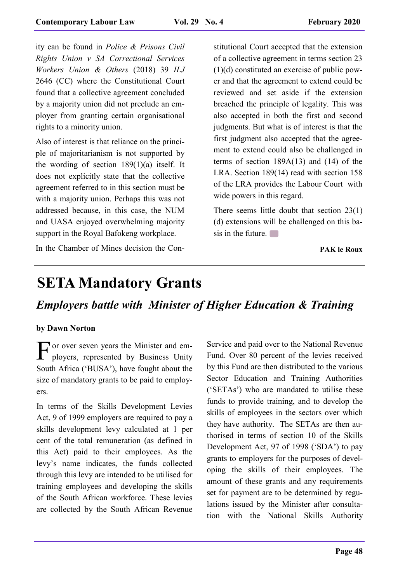ity can be found in *Police & Prisons Civil Rights Union v SA Correctional Services Workers Union & Others* (2018) 39 *ILJ* 2646 (CC) where the Constitutional Court found that a collective agreement concluded by a majority union did not preclude an employer from granting certain organisational rights to a minority union.

Also of interest is that reliance on the principle of majoritarianism is not supported by the wording of section 189(1)(a) itself. It does not explicitly state that the collective agreement referred to in this section must be with a majority union. Perhaps this was not addressed because, in this case, the NUM and UASA enjoyed overwhelming majority support in the Royal Bafokeng workplace.

In the Chamber of Mines decision the Con-

stitutional Court accepted that the extension of a collective agreement in terms section 23 (1)(d) constituted an exercise of public power and that the agreement to extend could be reviewed and set aside if the extension breached the principle of legality. This was also accepted in both the first and second judgments. But what is of interest is that the first judgment also accepted that the agreement to extend could also be challenged in terms of section 189A(13) and (14) of the LRA. Section 189(14) read with section 158 of the LRA provides the Labour Court with wide powers in this regard.

There seems little doubt that section 23(1) (d) extensions will be challenged on this basis in the future.

**PAK le Roux**

# **SETA Mandatory Grants**

*Employers battle with Minister of Higher Education & Training* 

#### **by Dawn Norton**

For over seven years the Minister and em-<br>ployers, represented by Business Unity ployers, represented by Business Unity South Africa ('BUSA'), have fought about the size of mandatory grants to be paid to employers.

In terms of the Skills Development Levies Act, 9 of 1999 employers are required to pay a skills development levy calculated at 1 per cent of the total remuneration (as defined in this Act) paid to their employees. As the levy's name indicates, the funds collected through this levy are intended to be utilised for training employees and developing the skills of the South African workforce. These levies are collected by the South African Revenue

Service and paid over to the National Revenue Fund. Over 80 percent of the levies received by this Fund are then distributed to the various Sector Education and Training Authorities ('SETAs') who are mandated to utilise these funds to provide training, and to develop the skills of employees in the sectors over which they have authority. The SETAs are then authorised in terms of section 10 of the Skills Development Act, 97 of 1998 ('SDA') to pay grants to employers for the purposes of developing the skills of their employees. The amount of these grants and any requirements set for payment are to be determined by regulations issued by the Minister after consultation with the National Skills Authority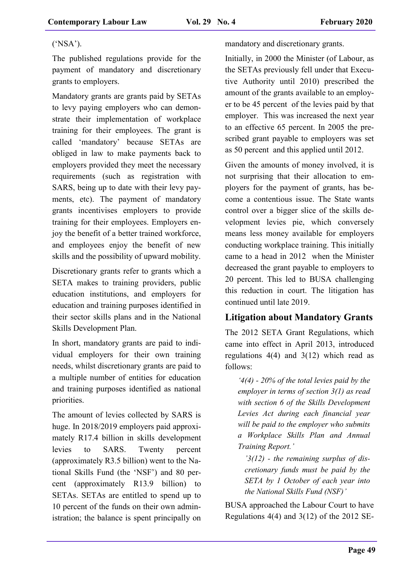#### ('NSA').

The published regulations provide for the payment of mandatory and discretionary grants to employers.

Mandatory grants are grants paid by SETAs to levy paying employers who can demonstrate their implementation of workplace training for their employees. The grant is called 'mandatory' because SETAs are obliged in law to make payments back to employers provided they meet the necessary requirements (such as registration with SARS, being up to date with their levy payments, etc). The payment of mandatory grants incentivises employers to provide training for their employees. Employers enjoy the benefit of a better trained workforce, and employees enjoy the benefit of new skills and the possibility of upward mobility.

Discretionary grants refer to grants which a SETA makes to training providers, public education institutions, and employers for education and training purposes identified in their sector skills plans and in the National Skills Development Plan.

In short, mandatory grants are paid to individual employers for their own training needs, whilst discretionary grants are paid to a multiple number of entities for education and training purposes identified as national priorities.

The amount of levies collected by SARS is huge. In 2018/2019 employers paid approximately R17.4 billion in skills development levies to SARS. Twenty percent (approximately R3.5 billion) went to the National Skills Fund (the 'NSF') and 80 percent (approximately R13.9 billion) to SETAs. SETAs are entitled to spend up to 10 percent of the funds on their own administration; the balance is spent principally on

mandatory and discretionary grants.

Initially, in 2000 the Minister (of Labour, as the SETAs previously fell under that Executive Authority until 2010) prescribed the amount of the grants available to an employer to be 45 percent of the levies paid by that employer. This was increased the next year to an effective 65 percent. In 2005 the prescribed grant payable to employers was set as 50 percent and this applied until 2012.

Given the amounts of money involved, it is not surprising that their allocation to employers for the payment of grants, has become a contentious issue. The State wants control over a bigger slice of the skills development levies pie, which conversely means less money available for employers conducting workplace training. This initially came to a head in 2012 when the Minister decreased the grant payable to employers to 20 percent. This led to BUSA challenging this reduction in court. The litigation has continued until late 2019.

#### **Litigation about Mandatory Grants**

The 2012 SETA Grant Regulations, which came into effect in April 2013, introduced regulations  $4(4)$  and  $3(12)$  which read as follows:

*'4(4) - 20% of the total levies paid by the employer in terms of section 3(1) as read with section 6 of the Skills Development Levies Act during each financial year will be paid to the employer who submits a Workplace Skills Plan and Annual Training Report.'*

*'3(12) - the remaining surplus of discretionary funds must be paid by the SETA by 1 October of each year into the National Skills Fund (NSF)'*

BUSA approached the Labour Court to have Regulations 4(4) and 3(12) of the 2012 SE-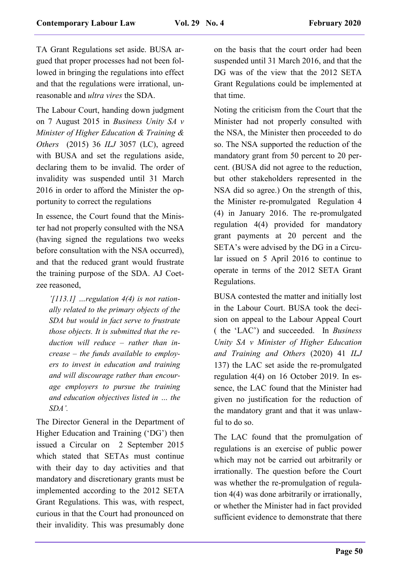TA Grant Regulations set aside. BUSA argued that proper processes had not been followed in bringing the regulations into effect and that the regulations were irrational, unreasonable and *ultra vires* the SDA.

The Labour Court, handing down judgment on 7 August 2015 in *Business Unity SA v Minister of Higher Education & Training & Others* (2015) 36 *ILJ* 3057 (LC), agreed with BUSA and set the regulations aside, declaring them to be invalid. The order of invalidity was suspended until 31 March 2016 in order to afford the Minister the opportunity to correct the regulations

In essence, the Court found that the Minister had not properly consulted with the NSA (having signed the regulations two weeks before consultation with the NSA occurred), and that the reduced grant would frustrate the training purpose of the SDA. AJ Coetzee reasoned,

*'[113.1] …regulation 4(4) is not rationally related to the primary objects of the SDA but would in fact serve to frustrate those objects. It is submitted that the reduction will reduce – rather than increase – the funds available to employers to invest in education and training and will discourage rather than encourage employers to pursue the training and education objectives listed in … the SDA'.* 

The Director General in the Department of Higher Education and Training ('DG') then issued a Circular on 2 September 2015 which stated that SETAs must continue with their day to day activities and that mandatory and discretionary grants must be implemented according to the 2012 SETA Grant Regulations. This was, with respect, curious in that the Court had pronounced on their invalidity. This was presumably done

on the basis that the court order had been suspended until 31 March 2016, and that the DG was of the view that the 2012 SETA Grant Regulations could be implemented at that time.

Noting the criticism from the Court that the Minister had not properly consulted with the NSA, the Minister then proceeded to do so. The NSA supported the reduction of the mandatory grant from 50 percent to 20 percent. (BUSA did not agree to the reduction, but other stakeholders represented in the NSA did so agree.) On the strength of this, the Minister re-promulgated Regulation 4 (4) in January 2016. The re-promulgated regulation 4(4) provided for mandatory grant payments at 20 percent and the SETA's were advised by the DG in a Circular issued on 5 April 2016 to continue to operate in terms of the 2012 SETA Grant Regulations.

BUSA contested the matter and initially lost in the Labour Court. BUSA took the decision on appeal to the Labour Appeal Court ( the 'LAC') and succeeded. In *Business Unity SA v Minister of Higher Education and Training and Others* (2020) 41 *ILJ* 137) the LAC set aside the re-promulgated regulation 4(4) on 16 October 2019. In essence, the LAC found that the Minister had given no justification for the reduction of the mandatory grant and that it was unlawful to do so.

The LAC found that the promulgation of regulations is an exercise of public power which may not be carried out arbitrarily or irrationally. The question before the Court was whether the re-promulgation of regulation 4(4) was done arbitrarily or irrationally, or whether the Minister had in fact provided sufficient evidence to demonstrate that there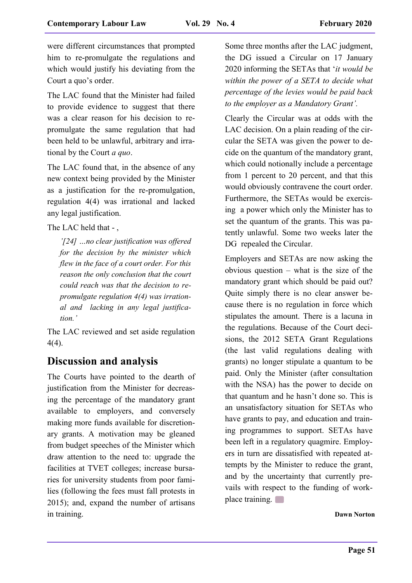were different circumstances that prompted him to re-promulgate the regulations and which would justify his deviating from the Court a quo's order.

The LAC found that the Minister had failed to provide evidence to suggest that there was a clear reason for his decision to repromulgate the same regulation that had been held to be unlawful, arbitrary and irrational by the Court *a quo*.

The LAC found that, in the absence of any new context being provided by the Minister as a justification for the re-promulgation, regulation 4(4) was irrational and lacked any legal justification.

The LAC held that - ,

*'[24] …no clear justification was offered for the decision by the minister which flew in the face of a court order. For this reason the only conclusion that the court could reach was that the decision to repromulgate regulation 4(4) was irrational and lacking in any legal justification.'* 

The LAC reviewed and set aside regulation 4(4).

### **Discussion and analysis**

The Courts have pointed to the dearth of justification from the Minister for decreasing the percentage of the mandatory grant available to employers, and conversely making more funds available for discretionary grants. A motivation may be gleaned from budget speeches of the Minister which draw attention to the need to: upgrade the facilities at TVET colleges; increase bursaries for university students from poor families (following the fees must fall protests in 2015); and, expand the number of artisans in training.

Some three months after the LAC judgment, the DG issued a Circular on 17 January 2020 informing the SETAs that '*it would be within the power of a SETA to decide what percentage of the levies would be paid back to the employer as a Mandatory Grant'.*

Clearly the Circular was at odds with the LAC decision. On a plain reading of the circular the SETA was given the power to decide on the quantum of the mandatory grant, which could notionally include a percentage from 1 percent to 20 percent, and that this would obviously contravene the court order. Furthermore, the SETAs would be exercising a power which only the Minister has to set the quantum of the grants. This was patently unlawful. Some two weeks later the DG repealed the Circular.

Employers and SETAs are now asking the obvious question – what is the size of the mandatory grant which should be paid out? Quite simply there is no clear answer because there is no regulation in force which stipulates the amount. There is a lacuna in the regulations. Because of the Court decisions, the 2012 SETA Grant Regulations (the last valid regulations dealing with grants) no longer stipulate a quantum to be paid. Only the Minister (after consultation with the NSA) has the power to decide on that quantum and he hasn't done so. This is an unsatisfactory situation for SETAs who have grants to pay, and education and training programmes to support. SETAs have been left in a regulatory quagmire. Employers in turn are dissatisfied with repeated attempts by the Minister to reduce the grant, and by the uncertainty that currently prevails with respect to the funding of workplace training.

**Dawn Norton**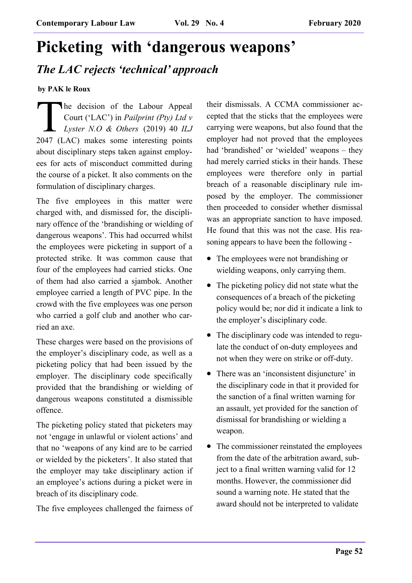# **Picketing with 'dangerous weapons'**

## *The LAC rejects 'technical' approach*

**by PAK le Roux**

 $\prod_{2047\ldots 0}$ he decision of the Labour Appeal Court ('LAC') in *Pailprint (Pty) Ltd v Lyster N.O & Others* (2019) 40 *ILJ* 2047 (LAC) makes some interesting points about disciplinary steps taken against employees for acts of misconduct committed during the course of a picket. It also comments on the formulation of disciplinary charges.

The five employees in this matter were charged with, and dismissed for, the disciplinary offence of the 'brandishing or wielding of dangerous weapons'. This had occurred whilst the employees were picketing in support of a protected strike. It was common cause that four of the employees had carried sticks. One of them had also carried a sjambok. Another employee carried a length of PVC pipe. In the crowd with the five employees was one person who carried a golf club and another who carried an axe.

These charges were based on the provisions of the employer's disciplinary code, as well as a picketing policy that had been issued by the employer. The disciplinary code specifically provided that the brandishing or wielding of dangerous weapons constituted a dismissible offence.

The picketing policy stated that picketers may not 'engage in unlawful or violent actions' and that no 'weapons of any kind are to be carried or wielded by the picketers'. It also stated that the employer may take disciplinary action if an employee's actions during a picket were in breach of its disciplinary code.

The five employees challenged the fairness of

their dismissals. A CCMA commissioner accepted that the sticks that the employees were carrying were weapons, but also found that the employer had not proved that the employees had 'brandished' or 'wielded' weapons – they had merely carried sticks in their hands. These employees were therefore only in partial breach of a reasonable disciplinary rule imposed by the employer. The commissioner then proceeded to consider whether dismissal was an appropriate sanction to have imposed. He found that this was not the case. His reasoning appears to have been the following -

- The employees were not brandishing or wielding weapons, only carrying them.
- The picketing policy did not state what the consequences of a breach of the picketing policy would be; nor did it indicate a link to the employer's disciplinary code.
- The disciplinary code was intended to regulate the conduct of on-duty employees and not when they were on strike or off-duty.
- There was an 'inconsistent disjuncture' in the disciplinary code in that it provided for the sanction of a final written warning for an assault, yet provided for the sanction of dismissal for brandishing or wielding a weapon.
- The commissioner reinstated the employees from the date of the arbitration award, subject to a final written warning valid for 12 months. However, the commissioner did sound a warning note. He stated that the award should not be interpreted to validate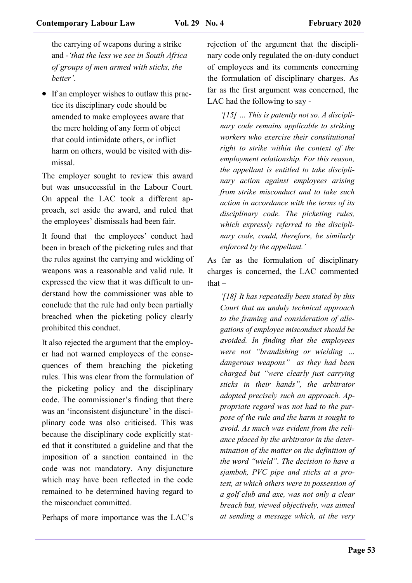the carrying of weapons during a strike and -*'that the less we see in South Africa of groups of men armed with sticks, the better'*.

• If an employer wishes to outlaw this practice its disciplinary code should be amended to make employees aware that the mere holding of any form of object that could intimidate others, or inflict harm on others, would be visited with dismissal.

The employer sought to review this award but was unsuccessful in the Labour Court. On appeal the LAC took a different approach, set aside the award, and ruled that the employees' dismissals had been fair.

It found that the employees' conduct had been in breach of the picketing rules and that the rules against the carrying and wielding of weapons was a reasonable and valid rule. It expressed the view that it was difficult to understand how the commissioner was able to conclude that the rule had only been partially breached when the picketing policy clearly prohibited this conduct.

It also rejected the argument that the employer had not warned employees of the consequences of them breaching the picketing rules. This was clear from the formulation of the picketing policy and the disciplinary code. The commissioner's finding that there was an 'inconsistent disjuncture' in the disciplinary code was also criticised. This was because the disciplinary code explicitly stated that it constituted a guideline and that the imposition of a sanction contained in the code was not mandatory. Any disjuncture which may have been reflected in the code remained to be determined having regard to the misconduct committed.

Perhaps of more importance was the LAC's

rejection of the argument that the disciplinary code only regulated the on-duty conduct of employees and its comments concerning the formulation of disciplinary charges. As far as the first argument was concerned, the LAC had the following to say -

*'[15] … This is patently not so. A disciplinary code remains applicable to striking workers who exercise their constitutional right to strike within the context of the employment relationship. For this reason, the appellant is entitled to take disciplinary action against employees arising from strike misconduct and to take such action in accordance with the terms of its disciplinary code. The picketing rules, which expressly referred to the disciplinary code, could, therefore, be similarly enforced by the appellant.'* 

As far as the formulation of disciplinary charges is concerned, the LAC commented  $that -$ 

*'[18] It has repeatedly been stated by this Court that an unduly technical approach to the framing and consideration of allegations of employee misconduct should be avoided. In finding that the employees were not "brandishing or wielding … dangerous weapons" as they had been charged but "were clearly just carrying sticks in their hands", the arbitrator adopted precisely such an approach. Appropriate regard was not had to the purpose of the rule and the harm it sought to avoid. As much was evident from the reliance placed by the arbitrator in the determination of the matter on the definition of the word "wield". The decision to have a sjambok, PVC pipe and sticks at a protest, at which others were in possession of a golf club and axe, was not only a clear breach but, viewed objectively, was aimed at sending a message which, at the very*